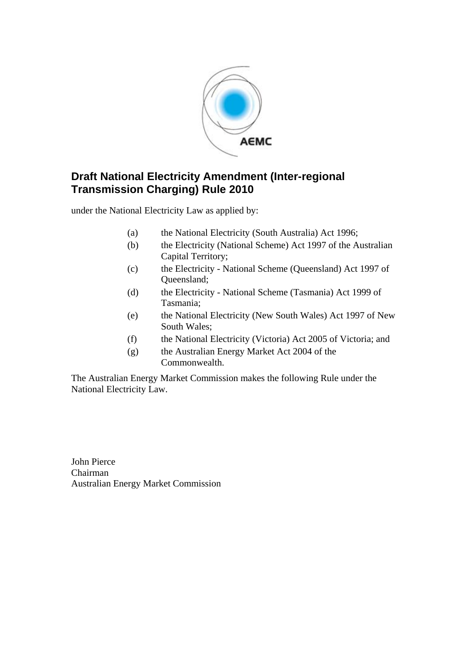

# **Draft National Electricity Amendment (Inter-regional Transmission Charging) Rule 2010**

under the National Electricity Law as applied by:

- (a) the National Electricity (South Australia) Act 1996;
- (b) the Electricity (National Scheme) Act 1997 of the Australian Capital Territory;
- (c) the Electricity National Scheme (Queensland) Act 1997 of Queensland;
- (d) the Electricity National Scheme (Tasmania) Act 1999 of Tasmania;
- (e) the National Electricity (New South Wales) Act 1997 of New South Wales;
- (f) the National Electricity (Victoria) Act 2005 of Victoria; and
- (g) the Australian Energy Market Act 2004 of the Commonwealth.

The Australian Energy Market Commission makes the following Rule under the National Electricity Law.

John Pierce Chairman Australian Energy Market Commission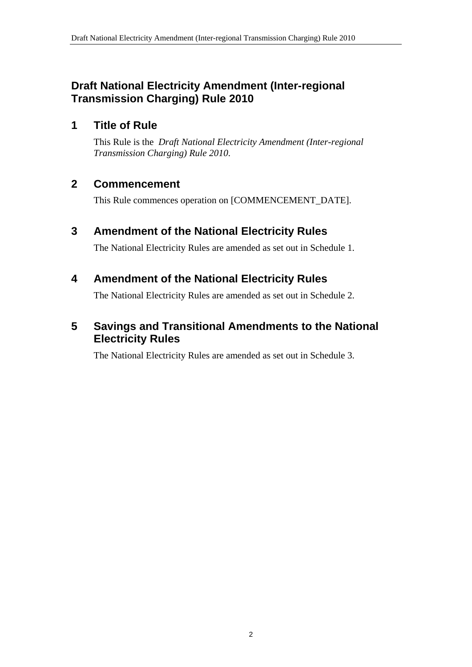# **Draft National Electricity Amendment (Inter-regional Transmission Charging) Rule 2010**

# **1 Title of Rule**

This Rule is the *Draft National Electricity Amendment (Inter-regional Transmission Charging) Rule 2010*.

# **2 Commencement**

This Rule commences operation on [COMMENCEMENT\_DATE].

# **3 Amendment of the National Electricity Rules**

The National Electricity Rules are amended as set out in Schedule 1.

# **4 Amendment of the National Electricity Rules**

The National Electricity Rules are amended as set out in Schedule 2.

# **5 Savings and Transitional Amendments to the National Electricity Rules**

The National Electricity Rules are amended as set out in Schedule 3.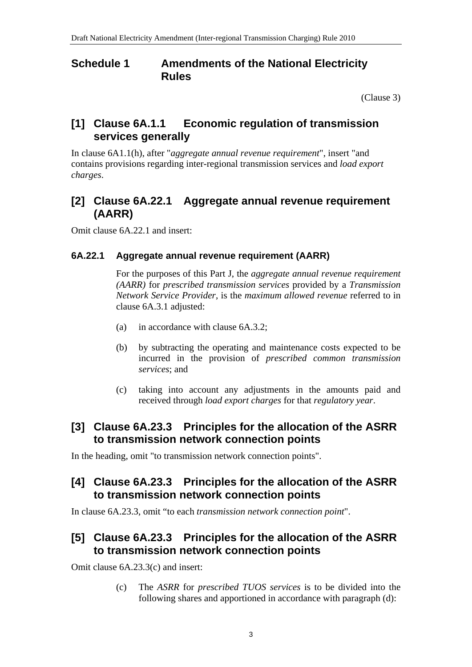### **Schedule 1 Amendments of the National Electricity Rules**

(Clause 3)

## **[1] Clause 6A.1.1 Economic regulation of transmission services generally**

In clause 6A1.1(h), after "*aggregate annual revenue requirement*", insert "and contains provisions regarding inter-regional transmission services and *load export charges*.

# **[2] Clause 6A.22.1 Aggregate annual revenue requirement (AARR)**

Omit clause 6A.22.1 and insert:

#### **6A.22.1 Aggregate annual revenue requirement (AARR)**

For the purposes of this Part J, the *aggregate annual revenue requirement (AARR)* for *prescribed transmission services* provided by a *Transmission Network Service Provider*, is the *maximum allowed revenue* referred to in clause 6A.3.1 adjusted:

- (a) in accordance with clause 6A.3.2;
- (b) by subtracting the operating and maintenance costs expected to be incurred in the provision of *prescribed common transmission services*; and
- (c) taking into account any adjustments in the amounts paid and received through *load export charges* for that *regulatory year*.

## **[3] Clause 6A.23.3 Principles for the allocation of the ASRR to transmission network connection points**

In the heading, omit "to transmission network connection points".

# **[4] Clause 6A.23.3 Principles for the allocation of the ASRR to transmission network connection points**

In clause 6A.23.3, omit "to each *transmission network connection point*".

# **[5] Clause 6A.23.3 Principles for the allocation of the ASRR to transmission network connection points**

Omit clause 6A.23.3(c) and insert:

(c) The *ASRR* for *prescribed TUOS services* is to be divided into the following shares and apportioned in accordance with paragraph (d):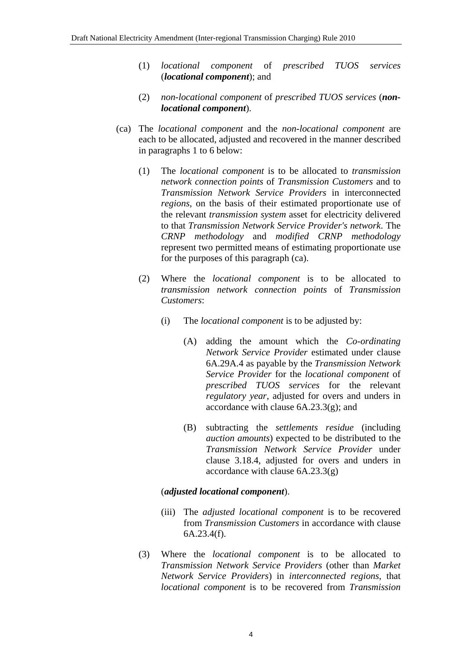- (1) *locational component* of *prescribed TUOS services* (*locational component*); and
- (2) *non-locational component* of *prescribed TUOS services* (*nonlocational component*).
- (ca) The *locational component* and the *non-locational component* are each to be allocated, adjusted and recovered in the manner described in paragraphs 1 to 6 below:
	- (1) The *locational component* is to be allocated to *transmission network connection points* of *Transmission Customers* and to *Transmission Network Service Providers* in interconnected *regions*, on the basis of their estimated proportionate use of the relevant *transmission system* asset for electricity delivered to that *Transmission Network Service Provider's network*. The *CRNP methodology* and *modified CRNP methodology* represent two permitted means of estimating proportionate use for the purposes of this paragraph (ca).
	- (2) Where the *locational component* is to be allocated to *transmission network connection points* of *Transmission Customers*:
		- (i) The *locational component* is to be adjusted by:
			- (A) adding the amount which the *Co-ordinating Network Service Provider* estimated under clause 6A.29A.4 as payable by the *Transmission Network Service Provider* for the *locational component* of *prescribed TUOS services* for the relevant *regulatory year*, adjusted for overs and unders in accordance with clause  $6A.23.3(g)$ ; and
			- (B) subtracting the *settlements residue* (including *auction amounts*) expected to be distributed to the *Transmission Network Service Provider* under clause 3.18.4, adjusted for overs and unders in accordance with clause  $6A.23.3(g)$

#### (*adjusted locational component*).

- (iii) The *adjusted locational component* is to be recovered from *Transmission Customers* in accordance with clause 6A.23.4(f).
- (3) Where the *locational component* is to be allocated to *Transmission Network Service Providers* (other than *Market Network Service Providers*) in *interconnected regions*, that *locational component* is to be recovered from *Transmission*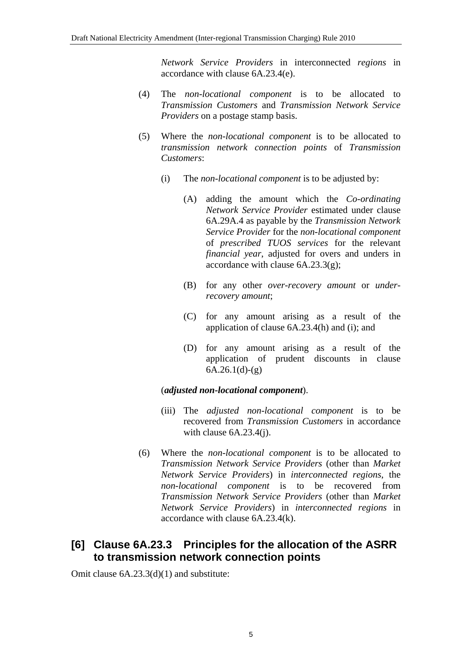*Network Service Providers* in interconnected *regions* in accordance with clause 6A.23.4(e).

- (4) The *non-locational component* is to be allocated to *Transmission Customers* and *Transmission Network Service Providers* on a postage stamp basis.
- (5) Where the *non-locational component* is to be allocated to *transmission network connection points* of *Transmission Customers*:
	- (i) The *non-locational component* is to be adjusted by:
		- (A) adding the amount which the *Co-ordinating Network Service Provider* estimated under clause 6A.29A.4 as payable by the *Transmission Network Service Provider* for the *non-locational component* of *prescribed TUOS services* for the relevant *financial year*, adjusted for overs and unders in accordance with clause  $6A.23.3(g)$ ;
		- (B) for any other *over-recovery amount* or *underrecovery amount*;
		- (C) for any amount arising as a result of the application of clause 6A.23.4(h) and (i); and
		- (D) for any amount arising as a result of the application of prudent discounts in clause  $6A.26.1(d)-(g)$

#### (*adjusted non-locational component*).

- (iii) The *adjusted non-locational component* is to be recovered from *Transmission Customers* in accordance with clause 6A.23.4(j).
- (6) Where the *non-locational component* is to be allocated to *Transmission Network Service Providers* (other than *Market Network Service Providers*) in *interconnected regions*, the *non-locational component* is to be recovered from *Transmission Network Service Providers* (other than *Market Network Service Providers*) in *interconnected regions* in accordance with clause 6A.23.4(k).

# **[6] Clause 6A.23.3 Principles for the allocation of the ASRR to transmission network connection points**

Omit clause 6A.23.3(d)(1) and substitute: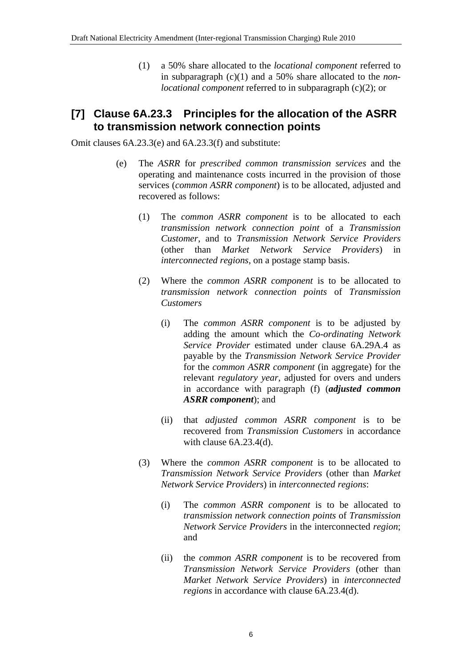(1) a 50% share allocated to the *locational component* referred to in subparagraph (c)(1) and a 50% share allocated to the *nonlocational component* referred to in subparagraph (c)(2); or

## **[7] Clause 6A.23.3 Principles for the allocation of the ASRR to transmission network connection points**

Omit clauses 6A.23.3(e) and 6A.23.3(f) and substitute:

- (e) The *ASRR* for *prescribed common transmission services* and the operating and maintenance costs incurred in the provision of those services (*common ASRR component*) is to be allocated, adjusted and recovered as follows:
	- (1) The *common ASRR component* is to be allocated to each *transmission network connection point* of a *Transmission Customer*, and to *Transmission Network Service Providers* (other than *Market Network Service Providers*) in *interconnected regions*, on a postage stamp basis.
	- (2) Where the *common ASRR component* is to be allocated to *transmission network connection points* of *Transmission Customers*
		- (i) The *common ASRR component* is to be adjusted by adding the amount which the *Co-ordinating Network Service Provider* estimated under clause 6A.29A.4 as payable by the *Transmission Network Service Provider* for the *common ASRR component* (in aggregate) for the relevant *regulatory year*, adjusted for overs and unders in accordance with paragraph (f) (*adjusted common ASRR component*); and
		- (ii) that *adjusted common ASRR component* is to be recovered from *Transmission Customers* in accordance with clause 6A.23.4(d).
	- (3) Where the *common ASRR component* is to be allocated to *Transmission Network Service Providers* (other than *Market Network Service Providers*) in *interconnected regions*:
		- (i) The *common ASRR component* is to be allocated to *transmission network connection points* of *Transmission Network Service Providers* in the interconnected *region*; and
		- (ii) the *common ASRR component* is to be recovered from *Transmission Network Service Providers* (other than *Market Network Service Providers*) in *interconnected regions* in accordance with clause 6A.23.4(d).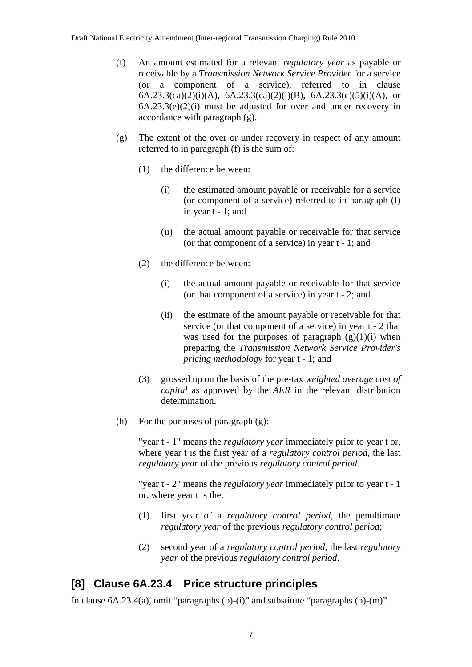- (f) An amount estimated for a relevant *regulatory year* as payable or receivable by a *Transmission Network Service Provider* for a service (or a component of a service), referred to in clause 6A.23.3(ca)(2)(i)(A), 6A.23.3(ca)(2)(i)(B), 6A.23.3(c)(5)(i)(A), or 6A.23.3(e)(2)(i) must be adjusted for over and under recovery in accordance with paragraph (g).
- (g) The extent of the over or under recovery in respect of any amount referred to in paragraph (f) is the sum of:
	- (1) the difference between:
		- (i) the estimated amount payable or receivable for a service (or component of a service) referred to in paragraph (f) in year t - 1; and
		- (ii) the actual amount payable or receivable for that service (or that component of a service) in year t - 1; and
	- (2) the difference between:
		- (i) the actual amount payable or receivable for that service (or that component of a service) in year t - 2; and
		- (ii) the estimate of the amount payable or receivable for that service (or that component of a service) in year t - 2 that was used for the purposes of paragraph  $(g)(1)(i)$  when preparing the *Transmission Network Service Provider's pricing methodology* for year t - 1; and
	- (3) grossed up on the basis of the pre-tax *weighted average cost of capital* as approved by the *AER* in the relevant distribution determination.
- (h) For the purposes of paragraph (g):

"year t - 1" means the *regulatory year* immediately prior to year t or, where year t is the first year of a *regulatory control period*, the last *regulatory year* of the previous *regulatory control period*.

"year t - 2" means the *regulatory year* immediately prior to year t - 1 or, where year t is the:

- (1) first year of a *regulatory control period*, the penultimate *regulatory year* of the previous *regulatory control period*;
- (2) second year of a *regulatory control period*, the last *regulatory year* of the previous *regulatory control period*.

# **[8] Clause 6A.23.4 Price structure principles**

In clause 6A.23.4(a), omit "paragraphs (b)-(i)" and substitute "paragraphs (b)-(m)".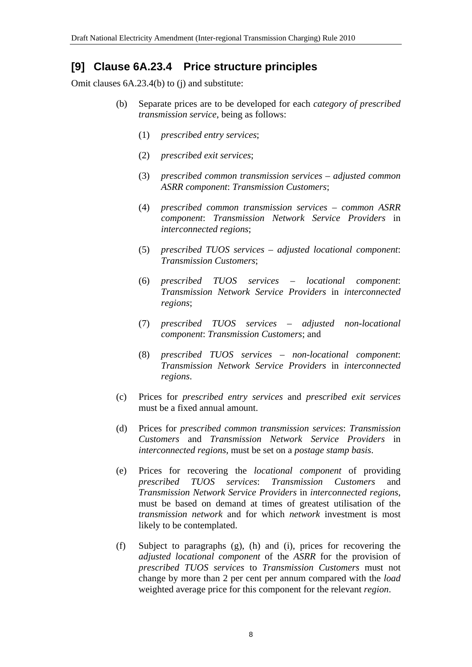## **[9] Clause 6A.23.4 Price structure principles**

Omit clauses 6A.23.4(b) to (j) and substitute:

- (b) Separate prices are to be developed for each *category of prescribed transmission service*, being as follows:
	- (1) *prescribed entry services*;
	- (2) *prescribed exit services*;
	- (3) *prescribed common transmission services adjusted common ASRR component*: *Transmission Customers*;
	- (4) *prescribed common transmission services common ASRR component*: *Transmission Network Service Providers* in *interconnected regions*;
	- (5) *prescribed TUOS services adjusted locational component*: *Transmission Customers*;
	- (6) *prescribed TUOS services locational component*: *Transmission Network Service Providers* in *interconnected regions*;
	- (7) *prescribed TUOS services adjusted non-locational component*: *Transmission Customers*; and
	- (8) *prescribed TUOS services non-locational component*: *Transmission Network Service Providers* in *interconnected regions*.
- (c) Prices for *prescribed entry services* and *prescribed exit services* must be a fixed annual amount.
- (d) Prices for *prescribed common transmission services*: *Transmission Customers* and *Transmission Network Service Providers* in *interconnected regions*, must be set on a *postage stamp basis*.
- (e) Prices for recovering the *locational component* of providing *prescribed TUOS services*: *Transmission Customers* and *Transmission Network Service Providers* in *interconnected regions*, must be based on demand at times of greatest utilisation of the *transmission network* and for which *network* investment is most likely to be contemplated.
- (f) Subject to paragraphs (g), (h) and (i), prices for recovering the *adjusted locational component* of the *ASRR* for the provision of *prescribed TUOS services* to *Transmission Customers* must not change by more than 2 per cent per annum compared with the *load* weighted average price for this component for the relevant *region*.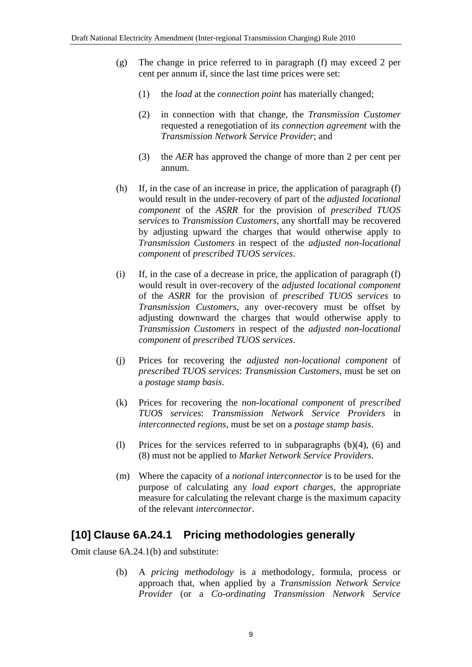- (g) The change in price referred to in paragraph (f) may exceed 2 per cent per annum if, since the last time prices were set:
	- (1) the *load* at the *connection point* has materially changed;
	- (2) in connection with that change, the *Transmission Customer* requested a renegotiation of its *connection agreement* with the *Transmission Network Service Provider*; and
	- (3) the *AER* has approved the change of more than 2 per cent per annum.
- (h) If, in the case of an increase in price, the application of paragraph (f) would result in the under-recovery of part of the *adjusted locational component* of the *ASRR* for the provision of *prescribed TUOS services* to *Transmission Customers*, any shortfall may be recovered by adjusting upward the charges that would otherwise apply to *Transmission Customers* in respect of the *adjusted non-locational component* of *prescribed TUOS services*.
- (i) If, in the case of a decrease in price, the application of paragraph (f) would result in over-recovery of the *adjusted locational component* of the *ASRR* for the provision of *prescribed TUOS services* to *Transmission Customers*, any over-recovery must be offset by adjusting downward the charges that would otherwise apply to *Transmission Customers* in respect of the *adjusted non-locational component* of *prescribed TUOS services*.
- (j) Prices for recovering the *adjusted non-locational component* of *prescribed TUOS services*: *Transmission Customers*, must be set on a *postage stamp basis*.
- (k) Prices for recovering the *non-locational component* of *prescribed TUOS services*: *Transmission Network Service Providers* in *interconnected regions*, must be set on a *postage stamp basis*.
- (l) Prices for the services referred to in subparagraphs (b)(4), (6) and (8) must not be applied to *Market Network Service Providers*.
- (m) Where the capacity of a *notional interconnector* is to be used for the purpose of calculating any *load export charges*, the appropriate measure for calculating the relevant charge is the maximum capacity of the relevant *interconnector*.

### **[10] Clause 6A.24.1 Pricing methodologies generally**

Omit clause 6A.24.1(b) and substitute:

(b) A *pricing methodology* is a methodology, formula, process or approach that, when applied by a *Transmission Network Service Provider* (or a *Co-ordinating Transmission Network Service*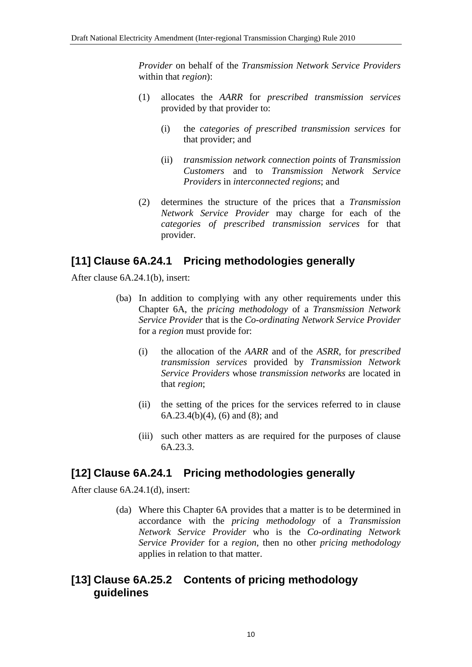*Provider* on behalf of the *Transmission Network Service Providers* within that *region*):

- (1) allocates the *AARR* for *prescribed transmission services* provided by that provider to:
	- (i) the *categories of prescribed transmission services* for that provider; and
	- (ii) *transmission network connection points* of *Transmission Customers* and to *Transmission Network Service Providers* in *interconnected regions*; and
- (2) determines the structure of the prices that a *Transmission Network Service Provider* may charge for each of the *categories of prescribed transmission services* for that provider.

### **[11] Clause 6A.24.1 Pricing methodologies generally**

After clause 6A.24.1(b), insert:

- (ba) In addition to complying with any other requirements under this Chapter 6A, the *pricing methodology* of a *Transmission Network Service Provider* that is the *Co-ordinating Network Service Provider* for a *region* must provide for:
	- (i) the allocation of the *AARR* and of the *ASRR*, for *prescribed transmission services* provided by *Transmission Network Service Providers* whose *transmission networks* are located in that *region*;
	- (ii) the setting of the prices for the services referred to in clause 6A.23.4(b)(4), (6) and (8); and
	- (iii) such other matters as are required for the purposes of clause 6A.23.3.

### **[12] Clause 6A.24.1 Pricing methodologies generally**

After clause 6A.24.1(d), insert:

(da) Where this Chapter 6A provides that a matter is to be determined in accordance with the *pricing methodology* of a *Transmission Network Service Provider* who is the *Co-ordinating Network Service Provider* for a *region*, then no other *pricing methodology* applies in relation to that matter.

### **[13] Clause 6A.25.2 Contents of pricing methodology guidelines**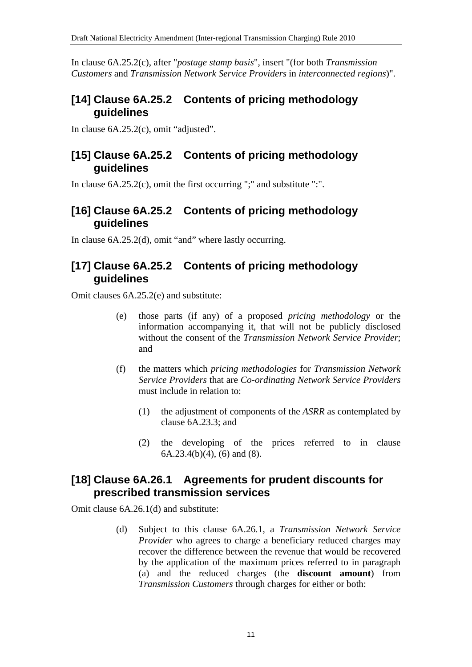In clause 6A.25.2(c), after "*postage stamp basis*", insert "(for both *Transmission Customers* and *Transmission Network Service Providers* in *interconnected regions*)".

# **[14] Clause 6A.25.2 Contents of pricing methodology guidelines**

In clause 6A.25.2(c), omit "adjusted".

## **[15] Clause 6A.25.2 Contents of pricing methodology guidelines**

In clause 6A.25.2(c), omit the first occurring ";" and substitute ":".

# **[16] Clause 6A.25.2 Contents of pricing methodology guidelines**

In clause 6A.25.2(d), omit "and" where lastly occurring.

# **[17] Clause 6A.25.2 Contents of pricing methodology guidelines**

Omit clauses 6A.25.2(e) and substitute:

- (e) those parts (if any) of a proposed *pricing methodology* or the information accompanying it, that will not be publicly disclosed without the consent of the *Transmission Network Service Provider*; and
- (f) the matters which *pricing methodologies* for *Transmission Network Service Providers* that are *Co-ordinating Network Service Providers* must include in relation to:
	- (1) the adjustment of components of the *ASRR* as contemplated by clause 6A.23.3; and
	- (2) the developing of the prices referred to in clause  $6A.23.4(b)(4)$ ,  $(6)$  and  $(8)$ .

# **[18] Clause 6A.26.1 Agreements for prudent discounts for prescribed transmission services**

Omit clause 6A.26.1(d) and substitute:

(d) Subject to this clause 6A.26.1, a *Transmission Network Service Provider* who agrees to charge a beneficiary reduced charges may recover the difference between the revenue that would be recovered by the application of the maximum prices referred to in paragraph (a) and the reduced charges (the **discount amount**) from *Transmission Customers* through charges for either or both: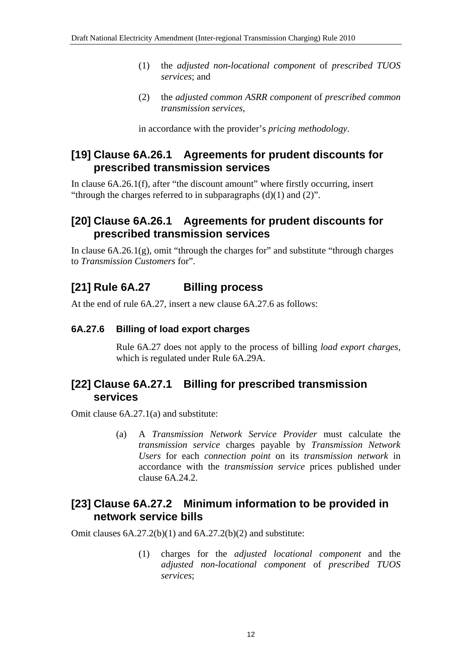- (1) the *adjusted non-locational component* of *prescribed TUOS services*; and
- (2) the *adjusted common ASRR component* of *prescribed common transmission services*,

in accordance with the provider's *pricing methodology*.

## **[19] Clause 6A.26.1 Agreements for prudent discounts for prescribed transmission services**

In clause 6A.26.1(f), after "the discount amount" where firstly occurring, insert "through the charges referred to in subparagraphs  $(d)(1)$  and  $(2)$ ".

## **[20] Clause 6A.26.1 Agreements for prudent discounts for prescribed transmission services**

In clause  $6A.26.1(g)$ , omit "through the charges for" and substitute "through charges" to *Transmission Customers* for".

# **[21] Rule 6A.27 Billing process**

At the end of rule 6A.27, insert a new clause 6A.27.6 as follows:

### **6A.27.6 Billing of load export charges**

Rule 6A.27 does not apply to the process of billing *load export charges*, which is regulated under Rule 6A.29A.

## **[22] Clause 6A.27.1 Billing for prescribed transmission services**

Omit clause 6A.27.1(a) and substitute:

(a) A *Transmission Network Service Provider* must calculate the *transmission service* charges payable by *Transmission Network Users* for each *connection point* on its *transmission network* in accordance with the *transmission service* prices published under clause 6A.24.2.

### **[23] Clause 6A.27.2 Minimum information to be provided in network service bills**

Omit clauses  $6A.27.2(b)(1)$  and  $6A.27.2(b)(2)$  and substitute:

(1) charges for the *adjusted locational component* and the *adjusted non-locational component* of *prescribed TUOS services*;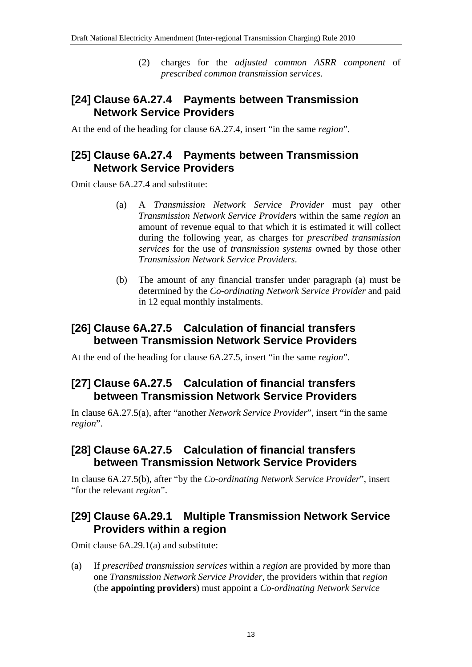(2) charges for the *adjusted common ASRR component* of *prescribed common transmission services*.

## **[24] Clause 6A.27.4 Payments between Transmission Network Service Providers**

At the end of the heading for clause 6A.27.4, insert "in the same *region*".

## **[25] Clause 6A.27.4 Payments between Transmission Network Service Providers**

Omit clause 6A.27.4 and substitute:

- (a) A *Transmission Network Service Provider* must pay other *Transmission Network Service Providers* within the same *region* an amount of revenue equal to that which it is estimated it will collect during the following year, as charges for *prescribed transmission services* for the use of *transmission systems* owned by those other *Transmission Network Service Providers*.
- (b) The amount of any financial transfer under paragraph (a) must be determined by the *Co-ordinating Network Service Provider* and paid in 12 equal monthly instalments.

## **[26] Clause 6A.27.5 Calculation of financial transfers between Transmission Network Service Providers**

At the end of the heading for clause 6A.27.5, insert "in the same *region*".

## **[27] Clause 6A.27.5 Calculation of financial transfers between Transmission Network Service Providers**

In clause 6A.27.5(a), after "another *Network Service Provider*", insert "in the same *region*".

## **[28] Clause 6A.27.5 Calculation of financial transfers between Transmission Network Service Providers**

In clause 6A.27.5(b), after "by the *Co-ordinating Network Service Provider*", insert "for the relevant *region*".

## **[29] Clause 6A.29.1 Multiple Transmission Network Service Providers within a region**

Omit clause 6A.29.1(a) and substitute:

(a) If *prescribed transmission services* within a *region* are provided by more than one *Transmission Network Service Provider*, the providers within that *region* (the **appointing providers**) must appoint a *Co-ordinating Network Service*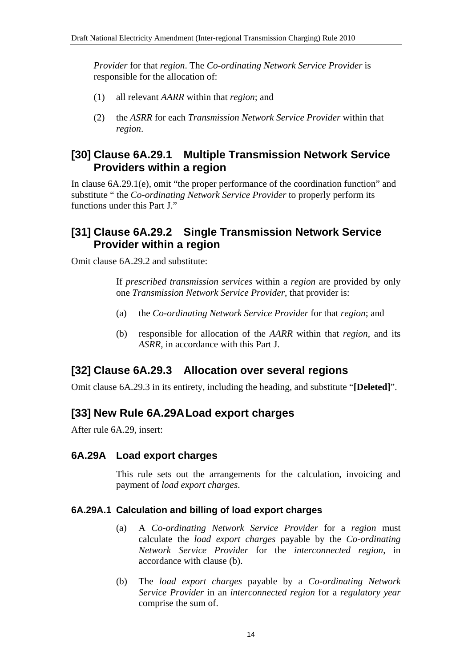*Provider* for that *region*. The *Co-ordinating Network Service Provider* is responsible for the allocation of:

- (1) all relevant *AARR* within that *region*; and
- (2) the *ASRR* for each *Transmission Network Service Provider* within that *region*.

### **[30] Clause 6A.29.1 Multiple Transmission Network Service Providers within a region**

In clause 6A.29.1(e), omit "the proper performance of the coordination function" and substitute " the *Co-ordinating Network Service Provider* to properly perform its functions under this Part J."

## **[31] Clause 6A.29.2 Single Transmission Network Service Provider within a region**

Omit clause 6A.29.2 and substitute:

If *prescribed transmission services* within a *region* are provided by only one *Transmission Network Service Provider*, that provider is:

- (a) the *Co-ordinating Network Service Provider* for that *region*; and
- (b) responsible for allocation of the *AARR* within that *region*, and its *ASRR*, in accordance with this Part J.

# **[32] Clause 6A.29.3 Allocation over several regions**

Omit clause 6A.29.3 in its entirety, including the heading, and substitute "**[Deleted]**".

# **[33] New Rule 6A.29A Load export charges**

After rule 6A.29, insert:

### **6A.29A Load export charges**

This rule sets out the arrangements for the calculation, invoicing and payment of *load export charges*.

#### **6A.29A.1 Calculation and billing of load export charges**

- (a) A *Co-ordinating Network Service Provider* for a *region* must calculate the *load export charges* payable by the *Co-ordinating Network Service Provider* for the *interconnected region*, in accordance with clause (b).
- (b) The *load export charges* payable by a *Co-ordinating Network Service Provider* in an *interconnected region* for a *regulatory year* comprise the sum of.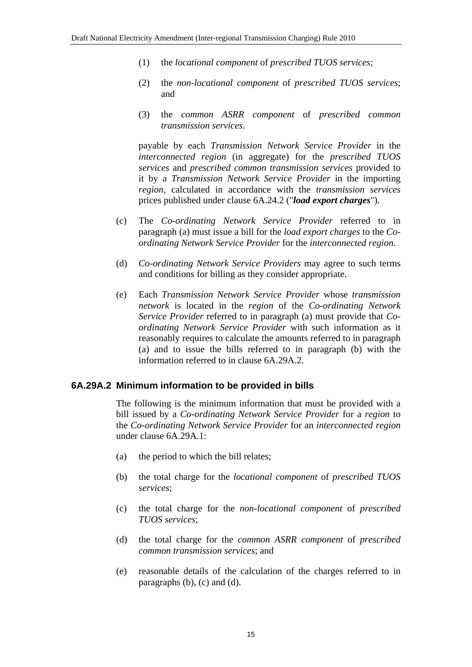- (1) the *locational component* of *prescribed TUOS services*;
- (2) the *non-locational component* of *prescribed TUOS services*; and
- (3) the *common ASRR component* of *prescribed common transmission services*.

payable by each *Transmission Network Service Provider* in the *interconnected region* (in aggregate) for the *prescribed TUOS services* and *prescribed common transmission services* provided to it by a *Transmission Network Service Provider* in the importing *region*, calculated in accordance with the *transmission services* prices published under clause 6A.24.2 ("*load export charges*").

- (c) The *Co-ordinating Network Service Provider* referred to in paragraph (a) must issue a bill for the *load export charges* to the *Coordinating Network Service Provider* for the *interconnected region*.
- (d) *Co-ordinating Network Service Providers* may agree to such terms and conditions for billing as they consider appropriate.
- (e) Each *Transmission Network Service Provider* whose *transmission network* is located in the *region* of the *Co-ordinating Network Service Provider* referred to in paragraph (a) must provide that *Coordinating Network Service Provider* with such information as it reasonably requires to calculate the amounts referred to in paragraph (a) and to issue the bills referred to in paragraph (b) with the information referred to in clause 6A.29A.2.

#### **6A.29A.2 Minimum information to be provided in bills**

The following is the minimum information that must be provided with a bill issued by a *Co-ordinating Network Service Provider* for a *region* to the *Co-ordinating Network Service Provider* for an *interconnected region* under clause 6A.29A.1:

- (a) the period to which the bill relates;
- (b) the total charge for the *locational component* of *prescribed TUOS services*;
- (c) the total charge for the *non-locational component* of *prescribed TUOS services*;
- (d) the total charge for the *common ASRR component* of *prescribed common transmission services*; and
- (e) reasonable details of the calculation of the charges referred to in paragraphs (b), (c) and (d).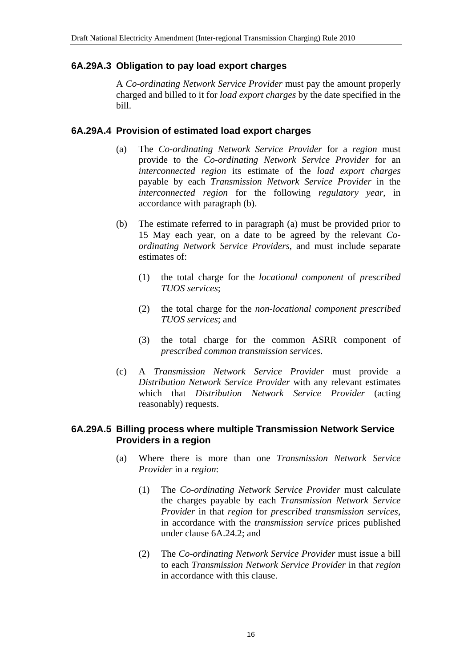#### **6A.29A.3 Obligation to pay load export charges**

A *Co-ordinating Network Service Provider* must pay the amount properly charged and billed to it for *load export charges* by the date specified in the bill.

#### **6A.29A.4 Provision of estimated load export charges**

- (a) The *Co-ordinating Network Service Provider* for a *region* must provide to the *Co-ordinating Network Service Provider* for an *interconnected region* its estimate of the *load export charges* payable by each *Transmission Network Service Provider* in the *interconnected region* for the following *regulatory year*, in accordance with paragraph (b).
- (b) The estimate referred to in paragraph (a) must be provided prior to 15 May each year, on a date to be agreed by the relevant *Coordinating Network Service Providers*, and must include separate estimates of:
	- (1) the total charge for the *locational component* of *prescribed TUOS services*;
	- (2) the total charge for the *non-locational component prescribed TUOS services*; and
	- (3) the total charge for the common ASRR component of *prescribed common transmission services*.
- (c) A *Transmission Network Service Provider* must provide a *Distribution Network Service Provider* with any relevant estimates which that *Distribution Network Service Provider* (acting reasonably) requests.

#### **6A.29A.5 Billing process where multiple Transmission Network Service Providers in a region**

- (a) Where there is more than one *Transmission Network Service Provider* in a *region*:
	- (1) The *Co-ordinating Network Service Provider* must calculate the charges payable by each *Transmission Network Service Provider* in that *region* for *prescribed transmission services*, in accordance with the *transmission service* prices published under clause 6A.24.2; and
	- (2) The *Co-ordinating Network Service Provider* must issue a bill to each *Transmission Network Service Provider* in that *region* in accordance with this clause.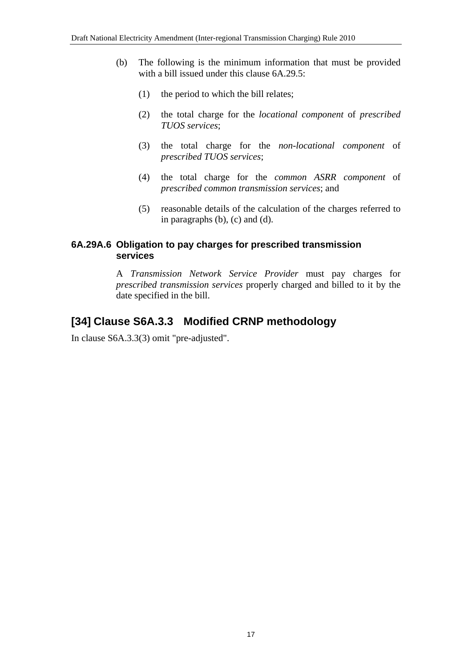- (b) The following is the minimum information that must be provided with a bill issued under this clause 6A.29.5:
	- (1) the period to which the bill relates;
	- (2) the total charge for the *locational component* of *prescribed TUOS services*;
	- (3) the total charge for the *non-locational component* of *prescribed TUOS services*;
	- (4) the total charge for the *common ASRR component* of *prescribed common transmission services*; and
	- (5) reasonable details of the calculation of the charges referred to in paragraphs (b), (c) and (d).

### **6A.29A.6 Obligation to pay charges for prescribed transmission services**

A *Transmission Network Service Provider* must pay charges for *prescribed transmission services* properly charged and billed to it by the date specified in the bill.

# **[34] Clause S6A.3.3 Modified CRNP methodology**

In clause S6A.3.3(3) omit "pre-adjusted".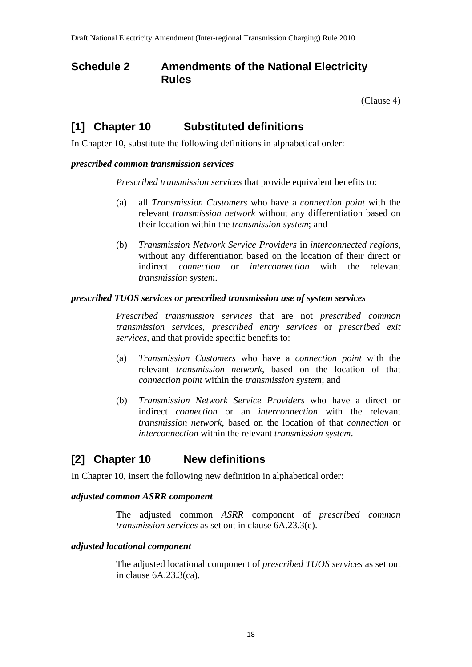## **Schedule 2 Amendments of the National Electricity Rules**

(Clause 4)

## **[1] Chapter 10 Substituted definitions**

In Chapter 10, substitute the following definitions in alphabetical order:

#### *prescribed common transmission services*

*Prescribed transmission services* that provide equivalent benefits to:

- (a) all *Transmission Customers* who have a *connection point* with the relevant *transmission network* without any differentiation based on their location within the *transmission system*; and
- (b) *Transmission Network Service Providers* in *interconnected regions*, without any differentiation based on the location of their direct or indirect *connection* or *interconnection* with the relevant *transmission system*.

#### *prescribed TUOS services or prescribed transmission use of system services*

*Prescribed transmission services* that are not *prescribed common transmission services*, *prescribed entry services* or *prescribed exit services*, and that provide specific benefits to:

- (a) *Transmission Customers* who have a *connection point* with the relevant *transmission network*, based on the location of that *connection point* within the *transmission system*; and
- (b) *Transmission Network Service Providers* who have a direct or indirect *connection* or an *interconnection* with the relevant *transmission network*, based on the location of that *connection* or *interconnection* within the relevant *transmission system*.

# **[2] Chapter 10 New definitions**

In Chapter 10, insert the following new definition in alphabetical order:

#### *adjusted common ASRR component*

The adjusted common *ASRR* component of *prescribed common transmission services* as set out in clause 6A.23.3(e).

#### *adjusted locational component*

The adjusted locational component of *prescribed TUOS services* as set out in clause 6A.23.3(ca).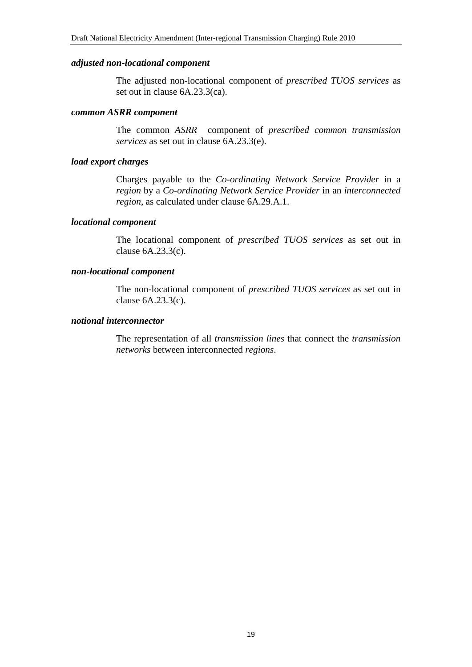#### *adjusted non-locational component*

The adjusted non-locational component of *prescribed TUOS services* as set out in clause 6A.23.3(ca).

#### *common ASRR component*

The common *ASRR* component of *prescribed common transmission services* as set out in clause 6A.23.3(e).

#### *load export charges*

Charges payable to the *Co-ordinating Network Service Provider* in a *region* by a *Co-ordinating Network Service Provider* in an *interconnected region*, as calculated under clause 6A.29.A.1.

#### *locational component*

The locational component of *prescribed TUOS services* as set out in clause 6A.23.3(c).

#### *non-locational component*

The non-locational component of *prescribed TUOS services* as set out in clause 6A.23.3(c).

#### *notional interconnector*

The representation of all *transmission lines* that connect the *transmission networks* between interconnected *regions*.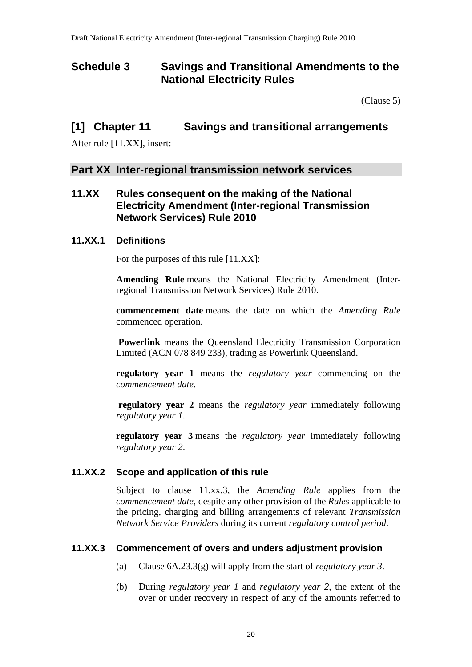## **Schedule 3 Savings and Transitional Amendments to the National Electricity Rules**

(Clause 5)

### **[1] Chapter 11 Savings and transitional arrangements**

After rule [11.XX], insert:

### **Part XX Inter-regional transmission network services**

### **11.XX Rules consequent on the making of the National Electricity Amendment (Inter-regional Transmission Network Services) Rule 2010**

#### **11.XX.1 Definitions**

For the purposes of this rule [11.XX]:

**Amending Rule** means the National Electricity Amendment (Interregional Transmission Network Services) Rule 2010.

**commencement date** means the date on which the *Amending Rule* commenced operation.

**Powerlink** means the Queensland Electricity Transmission Corporation Limited (ACN 078 849 233), trading as Powerlink Queensland.

**regulatory year 1** means the *regulatory year* commencing on the *commencement date*.

**regulatory year 2** means the *regulatory year* immediately following *regulatory year 1*.

**regulatory year 3** means the *regulatory year* immediately following *regulatory year 2*.

#### **11.XX.2 Scope and application of this rule**

Subject to clause 11.xx.3, the *Amending Rule* applies from the *commencement date*, despite any other provision of the *Rules* applicable to the pricing, charging and billing arrangements of relevant *Transmission Network Service Providers* during its current *regulatory control period*.

#### **11.XX.3 Commencement of overs and unders adjustment provision**

- (a) Clause 6A.23.3(g) will apply from the start of *regulatory year 3*.
- (b) During *regulatory year 1* and *regulatory year 2*, the extent of the over or under recovery in respect of any of the amounts referred to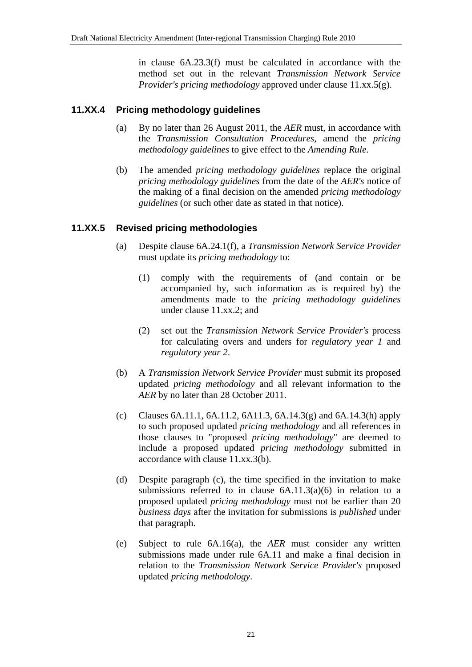in clause 6A.23.3(f) must be calculated in accordance with the method set out in the relevant *Transmission Network Service Provider's pricing methodology* approved under clause 11.xx.5(g).

#### **11.XX.4 Pricing methodology guidelines**

- (a) By no later than 26 August 2011, the *AER* must, in accordance with the *Transmission Consultation Procedures*, amend the *pricing methodology guidelines* to give effect to the *Amending Rule*.
- (b) The amended *pricing methodology guidelines* replace the original *pricing methodology guidelines* from the date of the *AER's* notice of the making of a final decision on the amended *pricing methodology guidelines* (or such other date as stated in that notice).

#### **11.XX.5 Revised pricing methodologies**

- (a) Despite clause 6A.24.1(f), a *Transmission Network Service Provider* must update its *pricing methodology* to:
	- (1) comply with the requirements of (and contain or be accompanied by, such information as is required by) the amendments made to the *pricing methodology guidelines* under clause 11.xx.2; and
	- (2) set out the *Transmission Network Service Provider's* process for calculating overs and unders for *regulatory year 1* and *regulatory year 2*.
- (b) A *Transmission Network Service Provider* must submit its proposed updated *pricing methodology* and all relevant information to the *AER* by no later than 28 October 2011.
- (c) Clauses 6A.11.1, 6A.11.2, 6A.11.3, 6A.14.3(g) and 6A.14.3(h) apply to such proposed updated *pricing methodology* and all references in those clauses to "proposed *pricing methodology*" are deemed to include a proposed updated *pricing methodology* submitted in accordance with clause 11.xx.3(b).
- (d) Despite paragraph (c), the time specified in the invitation to make submissions referred to in clause  $6A.11.3(a)(6)$  in relation to a proposed updated *pricing methodology* must not be earlier than 20 *business days* after the invitation for submissions is *published* under that paragraph.
- (e) Subject to rule 6A.16(a), the *AER* must consider any written submissions made under rule 6A.11 and make a final decision in relation to the *Transmission Network Service Provider's* proposed updated *pricing methodology*.